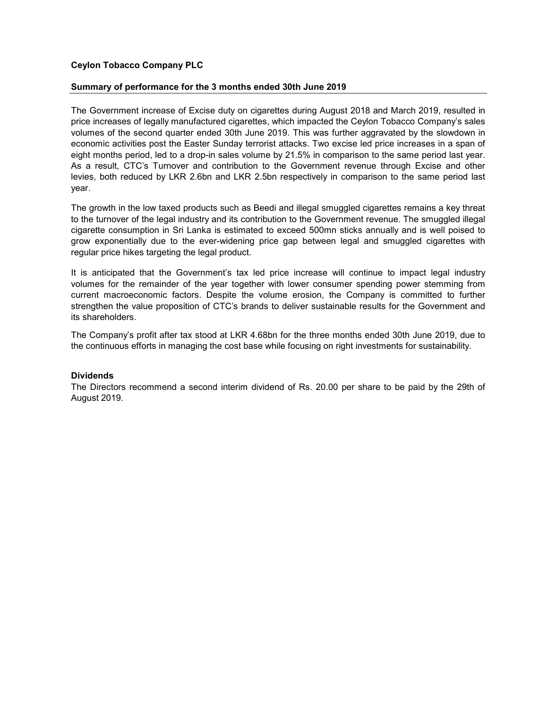# Ceylon Tobacco Company PLC

## Summary of performance for the 3 months ended 30th June 2019

The Government increase of Excise duty on cigarettes during August 2018 and March 2019, resulted in price increases of legally manufactured cigarettes, which impacted the Ceylon Tobacco Company's sales volumes of the second quarter ended 30th June 2019. This was further aggravated by the slowdown in economic activities post the Easter Sunday terrorist attacks. Two excise led price increases in a span of eight months period, led to a drop-in sales volume by 21.5% in comparison to the same period last year. As a result, CTC's Turnover and contribution to the Government revenue through Excise and other levies, both reduced by LKR 2.6bn and LKR 2.5bn respectively in comparison to the same period last year.

The growth in the low taxed products such as Beedi and illegal smuggled cigarettes remains a key threat to the turnover of the legal industry and its contribution to the Government revenue. The smuggled illegal cigarette consumption in Sri Lanka is estimated to exceed 500mn sticks annually and is well poised to grow exponentially due to the ever-widening price gap between legal and smuggled cigarettes with regular price hikes targeting the legal product.

It is anticipated that the Government's tax led price increase will continue to impact legal industry volumes for the remainder of the year together with lower consumer spending power stemming from current macroeconomic factors. Despite the volume erosion, the Company is committed to further strengthen the value proposition of CTC's brands to deliver sustainable results for the Government and its shareholders.

The Company's profit after tax stood at LKR 4.68bn for the three months ended 30th June 2019, due to the continuous efforts in managing the cost base while focusing on right investments for sustainability.

## **Dividends**

The Directors recommend a second interim dividend of Rs. 20.00 per share to be paid by the 29th of August 2019.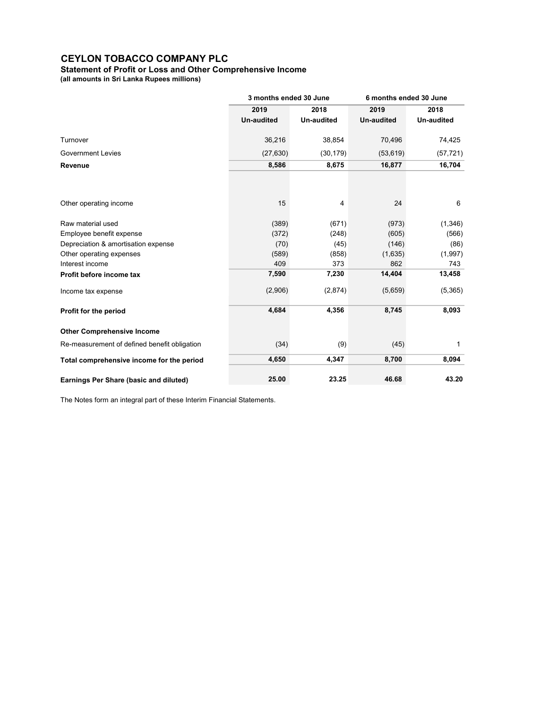# Statement of Profit or Loss and Other Comprehensive Income

(all amounts in Sri Lanka Rupees millions)

|                                              | 3 months ended 30 June |                   | 6 months ended 30 June |                   |
|----------------------------------------------|------------------------|-------------------|------------------------|-------------------|
|                                              | 2019<br>2018           |                   | 2019                   | 2018              |
|                                              | <b>Un-audited</b>      | <b>Un-audited</b> | <b>Un-audited</b>      | <b>Un-audited</b> |
| Turnover                                     | 36,216                 | 38,854            | 70,496                 | 74,425            |
| <b>Government Levies</b>                     | (27, 630)              | (30, 179)         | (53, 619)              | (57, 721)         |
| Revenue                                      | 8,586                  | 8,675             | 16,877                 | 16,704            |
|                                              |                        |                   |                        |                   |
| Other operating income                       | 15                     | 4                 | 24                     | 6                 |
| Raw material used                            | (389)                  | (671)             | (973)                  | (1,346)           |
| Employee benefit expense                     | (372)                  | (248)             | (605)                  | (566)             |
| Depreciation & amortisation expense          | (70)                   | (45)              | (146)                  | (86)              |
| Other operating expenses                     | (589)                  | (858)             | (1,635)                | (1,997)           |
| Interest income                              | 409                    | 373               | 862                    | 743               |
| Profit before income tax                     | 7,590                  | 7,230             | 14,404                 | 13,458            |
| Income tax expense                           | (2,906)                | (2,874)           | (5,659)                | (5,365)           |
| Profit for the period                        | 4,684                  | 4,356             | 8,745                  | 8,093             |
| <b>Other Comprehensive Income</b>            |                        |                   |                        |                   |
| Re-measurement of defined benefit obligation | (34)                   | (9)               | (45)                   | 1                 |
| Total comprehensive income for the period    | 4,650                  | 4,347             | 8,700                  | 8,094             |
| Earnings Per Share (basic and diluted)       | 25.00                  | 23.25             | 46.68                  | 43.20             |

The Notes form an integral part of these Interim Financial Statements.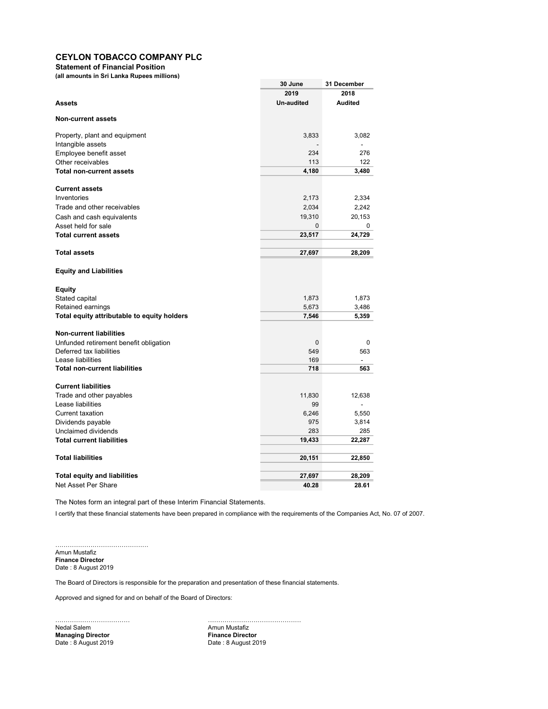Statement of Financial Position

(all amounts in Sri Lanka Rupees millions)

|                                             | 30 June           | 31 December    |
|---------------------------------------------|-------------------|----------------|
|                                             | 2019              | 2018           |
| <b>Assets</b>                               | <b>Un-audited</b> | <b>Audited</b> |
| <b>Non-current assets</b>                   |                   |                |
| Property, plant and equipment               | 3,833             | 3,082          |
| Intangible assets                           |                   |                |
| Employee benefit asset                      | 234               | 276            |
| Other receivables                           | 113               | 122            |
| <b>Total non-current assets</b>             | 4,180             | 3,480          |
| <b>Current assets</b>                       |                   |                |
| Inventories                                 | 2,173             | 2,334          |
| Trade and other receivables                 | 2,034             | 2,242          |
| Cash and cash equivalents                   | 19,310            | 20,153         |
| Asset held for sale                         | 0                 | 0              |
| <b>Total current assets</b>                 | 23,517            | 24,729         |
| <b>Total assets</b>                         | 27,697            | 28,209         |
| <b>Equity and Liabilities</b>               |                   |                |
|                                             |                   |                |
| <b>Equity</b><br>Stated capital             | 1,873             | 1,873          |
| Retained earnings                           | 5,673             | 3,486          |
| Total equity attributable to equity holders | 7,546             | 5,359          |
|                                             |                   |                |
| <b>Non-current liabilities</b>              |                   |                |
| Unfunded retirement benefit obligation      | 0                 | 0              |
| Deferred tax liabilities                    | 549               | 563            |
| Lease liabilities                           | 169               |                |
| <b>Total non-current liabilities</b>        | 718               | 563            |
| <b>Current liabilities</b>                  |                   |                |
| Trade and other payables                    | 11,830            | 12,638         |
| Lease liabilities                           | 99                |                |
| <b>Current taxation</b>                     | 6,246             | 5,550          |
| Dividends payable                           | 975               | 3,814          |
| Unclaimed dividends                         | 283               | 285            |
| <b>Total current liabilities</b>            | 19,433            | 22,287         |
| <b>Total liabilities</b>                    | 20,151            | 22,850         |
|                                             |                   |                |
| <b>Total equity and liabilities</b>         | 27,697            | 28,209         |
| Net Asset Per Share                         | 40.28             | 28.61          |

The Notes form an integral part of these Interim Financial Statements.

I certify that these financial statements have been prepared in compliance with the requirements of the Companies Act, No. 07 of 2007.

……………………………………… Amun Mustafiz Finance Director Date : 8 August 2019

The Board of Directors is responsible for the preparation and presentation of these financial statements.

Approved and signed for and on behalf of the Board of Directors:

Nedal Salem **Amun Mustafiz Amun Mustafiz Managing Director Contracts Example 2019**<br>
Date : 8 August 2019 **Date : 8 August 2019** 

……………………………… ……………………………………… Date : 8 August 2019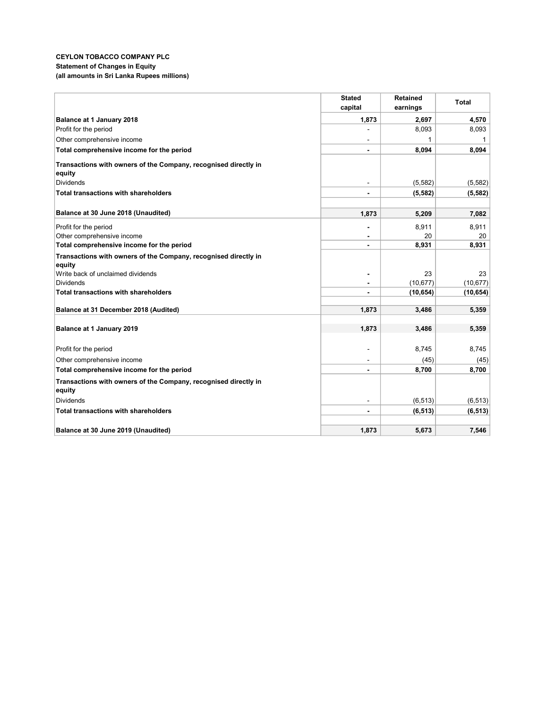## CEYLON TOBACCO COMPANY PLC Statement of Changes in Equity (all amounts in Sri Lanka Rupees millions)

|                                                                           | <b>Stated</b>                    | <b>Retained</b>        | <b>Total</b>    |
|---------------------------------------------------------------------------|----------------------------------|------------------------|-----------------|
|                                                                           | capital                          | earnings               |                 |
| Balance at 1 January 2018                                                 | 1,873                            | 2,697                  | 4,570           |
| Profit for the period                                                     |                                  | 8,093                  | 8,093           |
| Other comprehensive income                                                |                                  | 1                      | 1               |
| Total comprehensive income for the period                                 | $\blacksquare$                   | 8,094                  | 8,094           |
| Transactions with owners of the Company, recognised directly in<br>equity |                                  |                        |                 |
| Dividends                                                                 | $\blacksquare$                   | (5,582)                | (5,582)         |
| <b>Total transactions with shareholders</b>                               | $\blacksquare$                   | (5, 582)               | (5, 582)        |
|                                                                           |                                  |                        |                 |
| Balance at 30 June 2018 (Unaudited)                                       | 1,873                            | 5,209                  | 7,082           |
| Profit for the period                                                     |                                  | 8,911                  | 8,911           |
| Other comprehensive income                                                |                                  | 20                     | 20              |
| Total comprehensive income for the period                                 |                                  | 8,931                  | 8,931           |
| Transactions with owners of the Company, recognised directly in           |                                  |                        |                 |
| equity                                                                    |                                  |                        |                 |
| Write back of unclaimed dividends<br><b>Dividends</b>                     | $\overline{\phantom{0}}$         | 23                     | 23<br>(10, 677) |
| <b>Total transactions with shareholders</b>                               | $\blacksquare$<br>$\blacksquare$ | (10, 677)<br>(10, 654) | (10, 654)       |
|                                                                           |                                  |                        |                 |
| Balance at 31 December 2018 (Audited)                                     | 1,873                            | 3,486                  | 5,359           |
|                                                                           |                                  |                        |                 |
| Balance at 1 January 2019                                                 | 1,873                            | 3,486                  | 5,359           |
| Profit for the period                                                     |                                  | 8,745                  | 8,745           |
| Other comprehensive income                                                |                                  | (45)                   | (45)            |
| Total comprehensive income for the period                                 | $\blacksquare$                   | 8,700                  | 8,700           |
| Transactions with owners of the Company, recognised directly in<br>equity |                                  |                        |                 |
| <b>Dividends</b>                                                          |                                  | (6, 513)               | (6, 513)        |
| <b>Total transactions with shareholders</b>                               | $\blacksquare$                   | (6, 513)               | (6, 513)        |
|                                                                           |                                  |                        |                 |
| Balance at 30 June 2019 (Unaudited)                                       | 1,873                            | 5,673                  | 7,546           |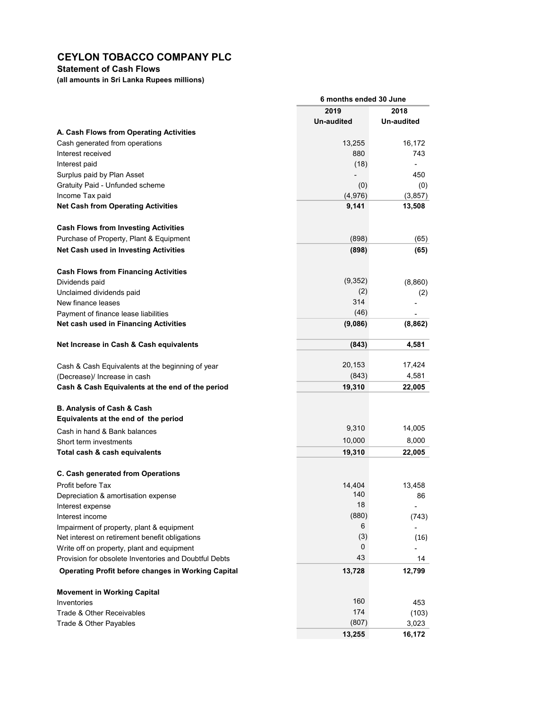Statement of Cash Flows

(all amounts in Sri Lanka Rupees millions)

| 2019<br>2018<br><b>Un-audited</b><br>Un-audited<br>A. Cash Flows from Operating Activities<br>Cash generated from operations<br>16,172<br>13,255<br>Interest received<br>880<br>743<br>(18)<br>Interest paid |
|--------------------------------------------------------------------------------------------------------------------------------------------------------------------------------------------------------------|
|                                                                                                                                                                                                              |
|                                                                                                                                                                                                              |
|                                                                                                                                                                                                              |
|                                                                                                                                                                                                              |
|                                                                                                                                                                                                              |
|                                                                                                                                                                                                              |
| Surplus paid by Plan Asset<br>450                                                                                                                                                                            |
| Gratuity Paid - Unfunded scheme<br>(0)<br>(0)                                                                                                                                                                |
| Income Tax paid<br>(4,976)<br>(3, 857)                                                                                                                                                                       |
| <b>Net Cash from Operating Activities</b><br>9,141<br>13,508                                                                                                                                                 |
| <b>Cash Flows from Investing Activities</b>                                                                                                                                                                  |
| Purchase of Property, Plant & Equipment<br>(898)<br>(65)                                                                                                                                                     |
| <b>Net Cash used in Investing Activities</b><br>(898)<br>(65)                                                                                                                                                |
| <b>Cash Flows from Financing Activities</b>                                                                                                                                                                  |
| (9, 352)<br>Dividends paid<br>(8,860)                                                                                                                                                                        |
| (2)<br>Unclaimed dividends paid<br>(2)                                                                                                                                                                       |
| 314<br>New finance leases                                                                                                                                                                                    |
| (46)<br>Payment of finance lease liabilities                                                                                                                                                                 |
| Net cash used in Financing Activities<br>(9,086)<br>(8, 862)                                                                                                                                                 |
| 4,581<br>Net Increase in Cash & Cash equivalents<br>(843)                                                                                                                                                    |
| 20,153<br>17,424<br>Cash & Cash Equivalents at the beginning of year                                                                                                                                         |
| 4,581<br>(843)<br>(Decrease)/ Increase in cash                                                                                                                                                               |
| Cash & Cash Equivalents at the end of the period<br>19,310<br>22,005                                                                                                                                         |
| B. Analysis of Cash & Cash                                                                                                                                                                                   |
| Equivalents at the end of the period                                                                                                                                                                         |
| 9,310<br>14,005<br>Cash in hand & Bank balances                                                                                                                                                              |
| 10,000<br>8,000<br>Short term investments                                                                                                                                                                    |
| Total cash & cash equivalents<br>19,310<br>22,005                                                                                                                                                            |
| C. Cash generated from Operations                                                                                                                                                                            |
| Profit before Tax<br>14,404<br>13,458                                                                                                                                                                        |
| 140<br>Depreciation & amortisation expense<br>86                                                                                                                                                             |
| 18<br>Interest expense                                                                                                                                                                                       |
| (880)<br>Interest income<br>(743)                                                                                                                                                                            |
| 6<br>Impairment of property, plant & equipment                                                                                                                                                               |
| (3)<br>Net interest on retirement benefit obligations<br>(16)                                                                                                                                                |
| 0<br>Write off on property, plant and equipment                                                                                                                                                              |
| 43<br>Provision for obsolete Inventories and Doubtful Debts<br>14                                                                                                                                            |
| <b>Operating Profit before changes in Working Capital</b><br>13,728<br>12,799                                                                                                                                |
| <b>Movement in Working Capital</b>                                                                                                                                                                           |
| 160<br>Inventories<br>453                                                                                                                                                                                    |
| 174<br>Trade & Other Receivables<br>(103)                                                                                                                                                                    |
| (807)<br>Trade & Other Payables<br>3,023                                                                                                                                                                     |
| 16,172<br>13,255                                                                                                                                                                                             |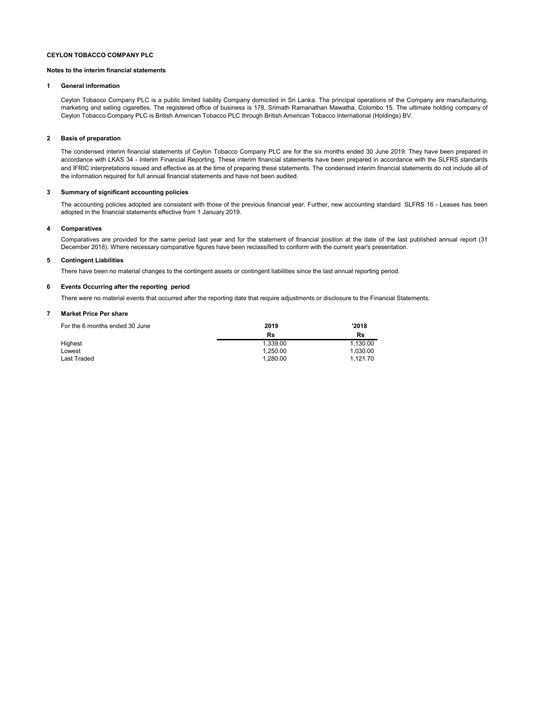#### Notes to the interim financial statements

#### 1 General information

Ceylon Tobacco Company PLC is a public limited liability Company domiciled in Sri Lanka. The principal operations of the Company are manufacturing, marketing and selling cigarettes. The registered office of business is 178, Srimath Ramanathan Mawatha, Colombo 15. The ultimate holding company of Ceylon Tobacco Company PLC is British American Tobacco PLC through British American Tobacco International (Holdings) BV.

#### 2 Basis of preparation

The condensed interim financial statements of Ceylon Tobacco Company PLC are for the six months ended 30 June 2019. They have been prepared in accordance with LKAS 34 - Interim Financial Reporting. These interim financial statements have been prepared in accordance with the SLFRS standards and IFRIC interpretations issued and effective as at the time of preparing these statements. The condensed interim financial statements do not include all of the information required for full annual financial statements and have not been audited.

#### 3 Summary of significant accounting policies

The accounting policies adopted are consistent with those of the previous financial year. Further, new accounting standard SLFRS 16 - Leases has been adopted in the financial statements effective from 1 January 2019.

#### 4 Comparatives

Comparatives are provided for the same period last year and for the statement of financial position at the date of the last published annual report (31 December 2018). Where necessary comparative figures have been reclassified to conform with the current year's presentation.

#### 5 Contingent Liabilities

There have been no material changes to the contingent assets or contingent liabilities since the last annual reporting period.

#### 6 Events Occurring after the reporting period

There were no material events that occurred after the reporting date that require adjustments or disclosure to the Financial Statements.

#### 7 Market Price Per share

| For the 6 months ended 30 June | 2019     | '2018    |  |
|--------------------------------|----------|----------|--|
|                                | Rs       | Rs       |  |
| Highest                        | 1.339.00 | 1.130.00 |  |
| Lowest                         | 1.250.00 | 1.030.00 |  |
| Last Traded                    | 1.280.00 | 1.121.70 |  |